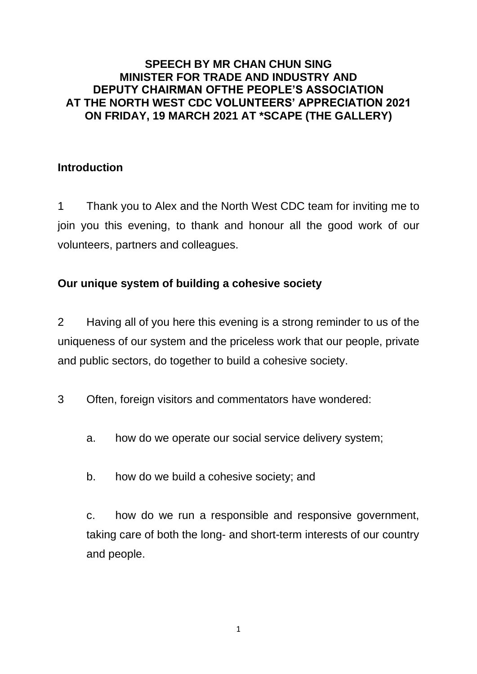#### **SPEECH BY MR CHAN CHUN SING MINISTER FOR TRADE AND INDUSTRY AND DEPUTY CHAIRMAN OFTHE PEOPLE'S ASSOCIATION AT THE NORTH WEST CDC VOLUNTEERS' APPRECIATION 2021 ON FRIDAY, 19 MARCH 2021 AT \*SCAPE (THE GALLERY)**

## **Introduction**

1 Thank you to Alex and the North West CDC team for inviting me to join you this evening, to thank and honour all the good work of our volunteers, partners and colleagues.

# **Our unique system of building a cohesive society**

2 Having all of you here this evening is a strong reminder to us of the uniqueness of our system and the priceless work that our people, private and public sectors, do together to build a cohesive society.

3 Often, foreign visitors and commentators have wondered:

- a. how do we operate our social service delivery system;
- b. how do we build a cohesive society; and

c. how do we run a responsible and responsive government, taking care of both the long- and short-term interests of our country and people.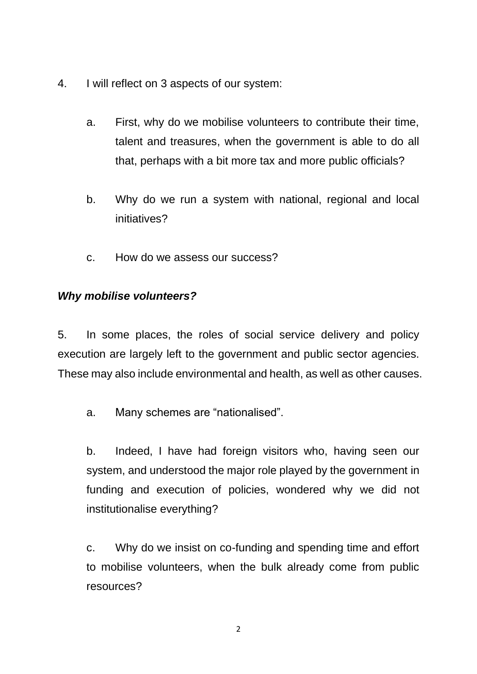- 4. I will reflect on 3 aspects of our system:
	- a. First, why do we mobilise volunteers to contribute their time, talent and treasures, when the government is able to do all that, perhaps with a bit more tax and more public officials?
	- b. Why do we run a system with national, regional and local initiatives?
	- c. How do we assess our success?

## *Why mobilise volunteers?*

5. In some places, the roles of social service delivery and policy execution are largely left to the government and public sector agencies. These may also include environmental and health, as well as other causes.

a. Many schemes are "nationalised".

b. Indeed, I have had foreign visitors who, having seen our system, and understood the major role played by the government in funding and execution of policies, wondered why we did not institutionalise everything?

c. Why do we insist on co-funding and spending time and effort to mobilise volunteers, when the bulk already come from public resources?

2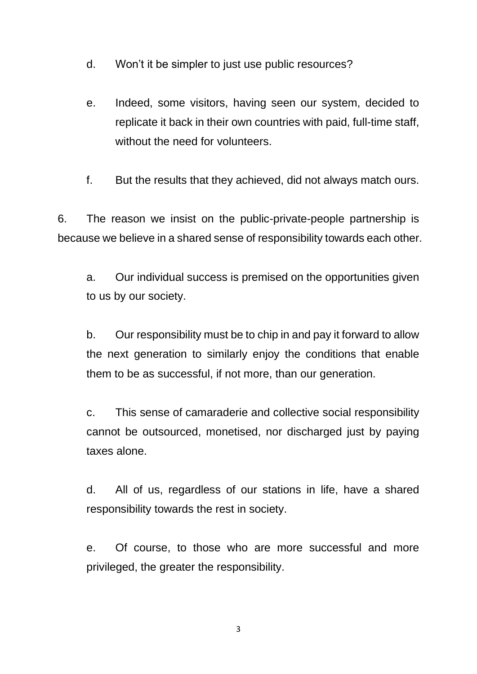- d. Won't it be simpler to just use public resources?
- e. Indeed, some visitors, having seen our system, decided to replicate it back in their own countries with paid, full-time staff, without the need for volunteers.
- f. But the results that they achieved, did not always match ours.

6. The reason we insist on the public-private-people partnership is because we believe in a shared sense of responsibility towards each other.

a. Our individual success is premised on the opportunities given to us by our society.

b. Our responsibility must be to chip in and pay it forward to allow the next generation to similarly enjoy the conditions that enable them to be as successful, if not more, than our generation.

c. This sense of camaraderie and collective social responsibility cannot be outsourced, monetised, nor discharged just by paying taxes alone.

d. All of us, regardless of our stations in life, have a shared responsibility towards the rest in society.

e. Of course, to those who are more successful and more privileged, the greater the responsibility.

3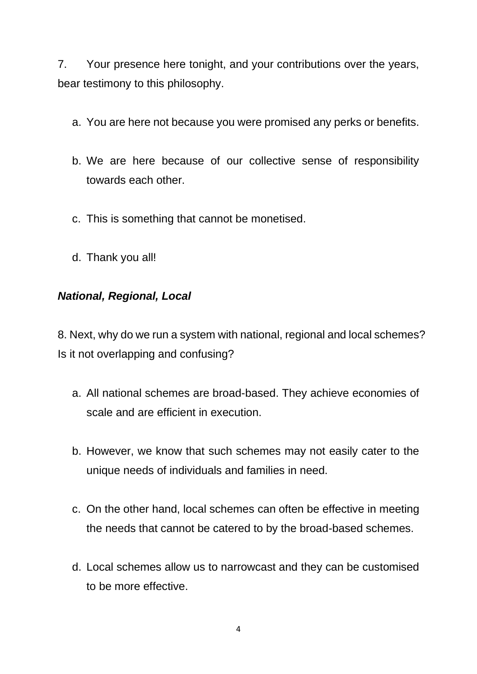7. Your presence here tonight, and your contributions over the years, bear testimony to this philosophy.

- a. You are here not because you were promised any perks or benefits.
- b. We are here because of our collective sense of responsibility towards each other.
- c. This is something that cannot be monetised.
- d. Thank you all!

## *National, Regional, Local*

8. Next, why do we run a system with national, regional and local schemes? Is it not overlapping and confusing?

- a. All national schemes are broad-based. They achieve economies of scale and are efficient in execution.
- b. However, we know that such schemes may not easily cater to the unique needs of individuals and families in need.
- c. On the other hand, local schemes can often be effective in meeting the needs that cannot be catered to by the broad-based schemes.
- d. Local schemes allow us to narrowcast and they can be customised to be more effective.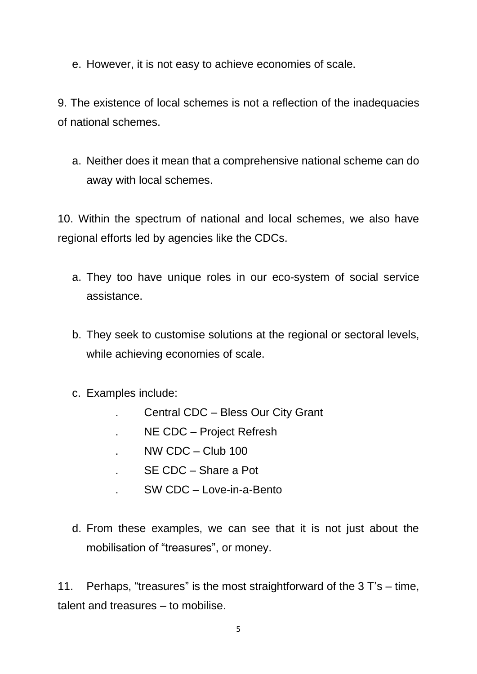e. However, it is not easy to achieve economies of scale.

9. The existence of local schemes is not a reflection of the inadequacies of national schemes.

a. Neither does it mean that a comprehensive national scheme can do away with local schemes.

10. Within the spectrum of national and local schemes, we also have regional efforts led by agencies like the CDCs.

- a. They too have unique roles in our eco-system of social service assistance.
- b. They seek to customise solutions at the regional or sectoral levels, while achieving economies of scale.
- c. Examples include:
	- . Central CDC Bless Our City Grant
	- . NE CDC Project Refresh
	- . NW CDC Club 100
	- . SE CDC Share a Pot
	- . SW CDC Love-in-a-Bento
- d. From these examples, we can see that it is not just about the mobilisation of "treasures", or money.

11. Perhaps, "treasures" is the most straightforward of the 3 T's – time, talent and treasures – to mobilise.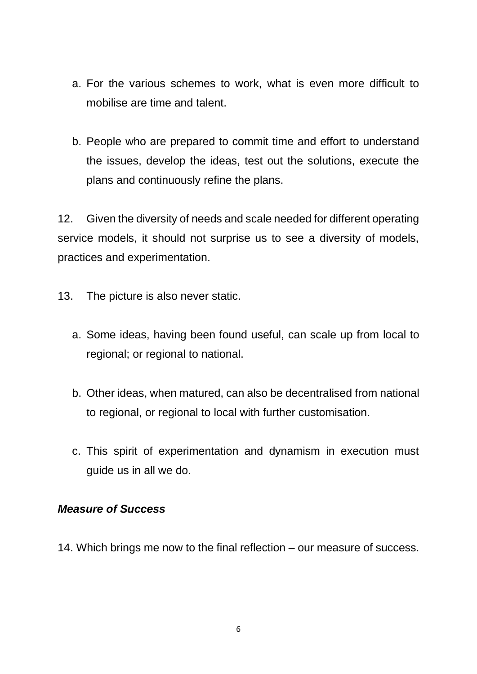- a. For the various schemes to work, what is even more difficult to mobilise are time and talent.
- b. People who are prepared to commit time and effort to understand the issues, develop the ideas, test out the solutions, execute the plans and continuously refine the plans.

12. Given the diversity of needs and scale needed for different operating service models, it should not surprise us to see a diversity of models, practices and experimentation.

- 13. The picture is also never static.
	- a. Some ideas, having been found useful, can scale up from local to regional; or regional to national.
	- b. Other ideas, when matured, can also be decentralised from national to regional, or regional to local with further customisation.
	- c. This spirit of experimentation and dynamism in execution must guide us in all we do.

#### *Measure of Success*

14. Which brings me now to the final reflection – our measure of success.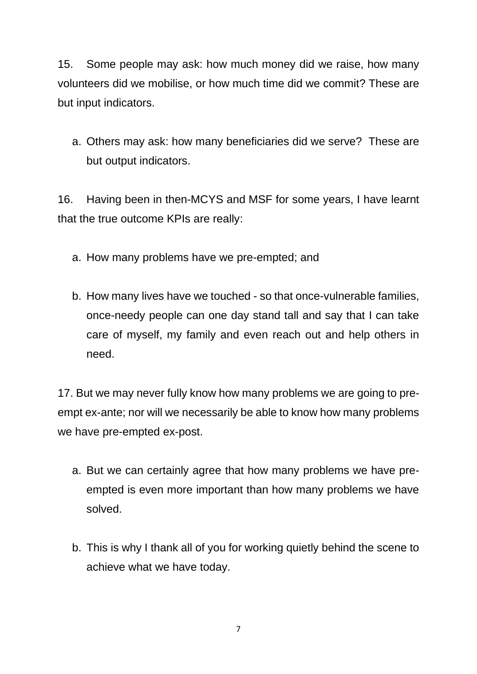15. Some people may ask: how much money did we raise, how many volunteers did we mobilise, or how much time did we commit? These are but input indicators.

a. Others may ask: how many beneficiaries did we serve? These are but output indicators.

16. Having been in then-MCYS and MSF for some years, I have learnt that the true outcome KPIs are really:

- a. How many problems have we pre-empted; and
- b. How many lives have we touched so that once-vulnerable families, once-needy people can one day stand tall and say that I can take care of myself, my family and even reach out and help others in need.

17. But we may never fully know how many problems we are going to preempt ex-ante; nor will we necessarily be able to know how many problems we have pre-empted ex-post.

- a. But we can certainly agree that how many problems we have preempted is even more important than how many problems we have solved.
- b. This is why I thank all of you for working quietly behind the scene to achieve what we have today.

7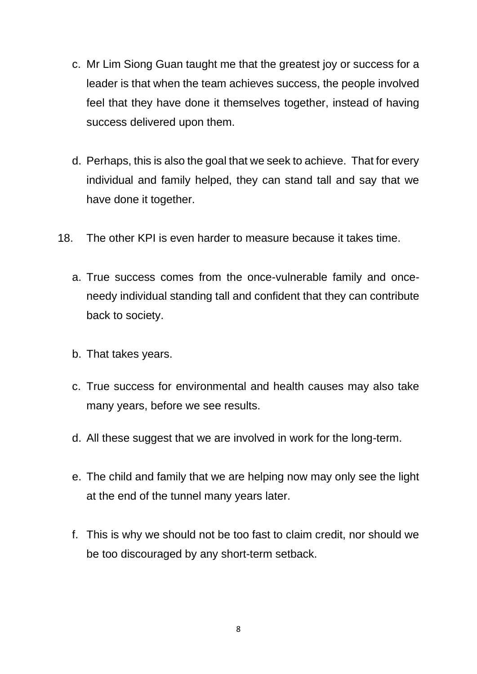- c. Mr Lim Siong Guan taught me that the greatest joy or success for a leader is that when the team achieves success, the people involved feel that they have done it themselves together, instead of having success delivered upon them.
- d. Perhaps, this is also the goal that we seek to achieve. That for every individual and family helped, they can stand tall and say that we have done it together.
- 18. The other KPI is even harder to measure because it takes time.
	- a. True success comes from the once-vulnerable family and onceneedy individual standing tall and confident that they can contribute back to society.
	- b. That takes years.
	- c. True success for environmental and health causes may also take many years, before we see results.
	- d. All these suggest that we are involved in work for the long-term.
	- e. The child and family that we are helping now may only see the light at the end of the tunnel many years later.
	- f. This is why we should not be too fast to claim credit, nor should we be too discouraged by any short-term setback.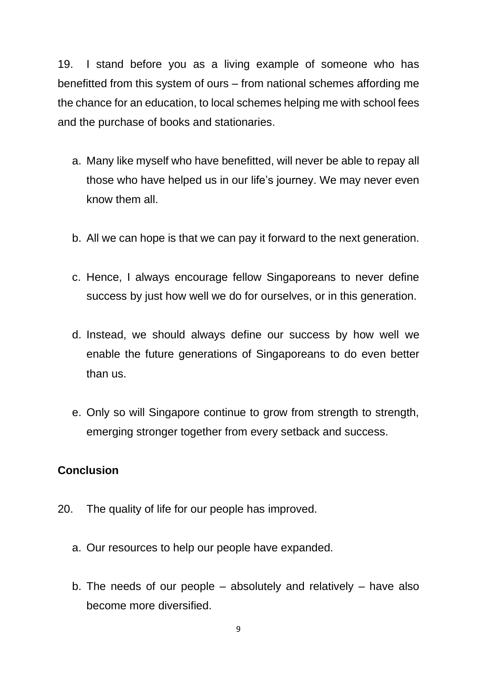19. I stand before you as a living example of someone who has benefitted from this system of ours – from national schemes affording me the chance for an education, to local schemes helping me with school fees and the purchase of books and stationaries.

- a. Many like myself who have benefitted, will never be able to repay all those who have helped us in our life's journey. We may never even know them all.
- b. All we can hope is that we can pay it forward to the next generation.
- c. Hence, I always encourage fellow Singaporeans to never define success by just how well we do for ourselves, or in this generation.
- d. Instead, we should always define our success by how well we enable the future generations of Singaporeans to do even better than us.
- e. Only so will Singapore continue to grow from strength to strength, emerging stronger together from every setback and success.

## **Conclusion**

- 20. The quality of life for our people has improved.
	- a. Our resources to help our people have expanded.
	- b. The needs of our people absolutely and relatively have also become more diversified.